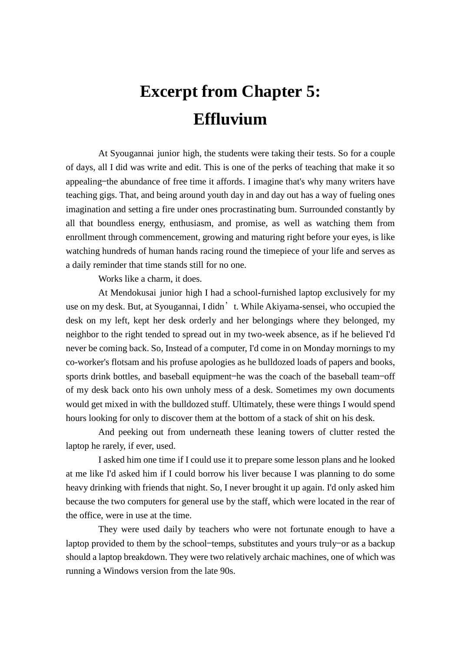## **Excerpt from Chapter 5: Effluvium**

At Syougannai junior high, the students were taking their tests. So for a couple of days, all I did was write and edit. This is one of the perks of teaching that make it so appealing—the abundance of free time it affords. I imagine that's why many writers have teaching gigs. That, and being around youth day in and day out has a way of fueling ones imagination and setting a fire under ones procrastinating bum. Surrounded constantly by all that boundless energy, enthusiasm, and promise, as well as watching them from enrollment through commencement, growing and maturing right before your eyes, is like watching hundreds of human hands racing round the timepiece of your life and serves as a daily reminder that time stands still for no one.

Works like a charm, it does.

At Mendokusai junior high I had a school-furnished laptop exclusively for my use on my desk. But, at Syougannai, I didn't. While Akiyama-sensei, who occupied the desk on my left, kept her desk orderly and her belongings where they belonged, my neighbor to the right tended to spread out in my two-week absence, as if he believed I'd never be coming back. So, Instead of a computer, I'd come in on Monday mornings to my co-worker's flotsam and his profuse apologies as he bulldozed loads of papers and books, sports drink bottles, and baseball equipment-he was the coach of the baseball team-off of my desk back onto his own unholy mess of a desk. Sometimes my own documents would get mixed in with the bulldozed stuff. Ultimately, these were things I would spend hours looking for only to discover them at the bottom of a stack of shit on his desk.

And peeking out from underneath these leaning towers of clutter rested the laptop he rarely, if ever, used.

I asked him one time if I could use it to prepare some lesson plans and he looked at me like I'd asked him if I could borrow his liver because I was planning to do some heavy drinking with friends that night. So, I never brought it up again. I'd only asked him because the two computers for general use by the staff, which were located in the rear of the office, were in use at the time.

They were used daily by teachers who were not fortunate enough to have a laptop provided to them by the school—temps, substitutes and yours truly—or as a backup should a laptop breakdown. They were two relatively archaic machines, one of which was running a Windows version from the late 90s.